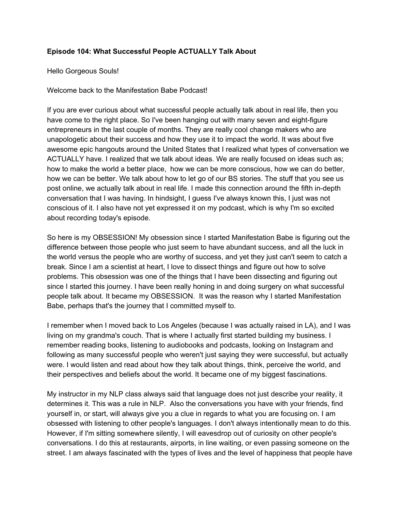## **Episode 104: What Successful People ACTUALLY Talk About**

Hello Gorgeous Souls!

Welcome back to the Manifestation Babe Podcast!

If you are ever curious about what successful people actually talk about in real life, then you have come to the right place. So I've been hanging out with many seven and eight-figure entrepreneurs in the last couple of months. They are really cool change makers who are unapologetic about their success and how they use it to impact the world. It was about five awesome epic hangouts around the United States that I realized what types of conversation we ACTUALLY have. I realized that we talk about ideas. We are really focused on ideas such as; how to make the world a better place, how we can be more conscious, how we can do better, how we can be better. We talk about how to let go of our BS stories. The stuff that you see us post online, we actually talk about in real life. I made this connection around the fifth in-depth conversation that I was having. In hindsight, I guess I've always known this, I just was not conscious of it. I also have not yet expressed it on my podcast, which is why I'm so excited about recording today's episode.

So here is my OBSESSION! My obsession since I started Manifestation Babe is figuring out the difference between those people who just seem to have abundant success, and all the luck in the world versus the people who are worthy of success, and yet they just can't seem to catch a break. Since I am a scientist at heart, I love to dissect things and figure out how to solve problems. This obsession was one of the things that I have been dissecting and figuring out since I started this journey. I have been really honing in and doing surgery on what successful people talk about. It became my OBSESSION. It was the reason why I started Manifestation Babe, perhaps that's the journey that I committed myself to.

I remember when I moved back to Los Angeles (because I was actually raised in LA), and I was living on my grandma's couch. That is where I actually first started building my business. I remember reading books, listening to audiobooks and podcasts, looking on Instagram and following as many successful people who weren't just saying they were successful, but actually were. I would listen and read about how they talk about things, think, perceive the world, and their perspectives and beliefs about the world. It became one of my biggest fascinations.

My instructor in my NLP class always said that language does not just describe your reality, it determines it. This was a rule in NLP. Also the conversations you have with your friends, find yourself in, or start, will always give you a clue in regards to what you are focusing on. I am obsessed with listening to other people's languages. I don't always intentionally mean to do this. However, if I'm sitting somewhere silently, I will eavesdrop out of curiosity on other people's conversations. I do this at restaurants, airports, in line waiting, or even passing someone on the street. I am always fascinated with the types of lives and the level of happiness that people have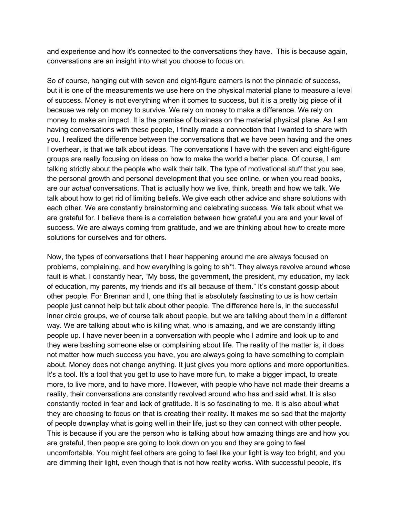and experience and how it's connected to the conversations they have. This is because again, conversations are an insight into what you choose to focus on.

So of course, hanging out with seven and eight-figure earners is not the pinnacle of success, but it is one of the measurements we use here on the physical material plane to measure a level of success. Money is not everything when it comes to success, but it is a pretty big piece of it because we rely on money to survive. We rely on money to make a difference. We rely on money to make an impact. It is the premise of business on the material physical plane. As I am having conversations with these people, I finally made a connection that I wanted to share with you. I realized the difference between the conversations that we have been having and the ones I overhear, is that we talk about ideas. The conversations I have with the seven and eight-figure groups are really focusing on ideas on how to make the world a better place. Of course, I am talking strictly about the people who walk their talk. The type of motivational stuff that you see, the personal growth and personal development that you see online, or when you read books, are our *actual* conversations. That is actually how we live, think, breath and how we talk. We talk about how to get rid of limiting beliefs. We give each other advice and share solutions with each other. We are constantly brainstorming and celebrating success. We talk about what we are grateful for. I believe there is a correlation between how grateful you are and your level of success. We are always coming from gratitude, and we are thinking about how to create more solutions for ourselves and for others.

Now, the types of conversations that I hear happening around me are always focused on problems, complaining, and how everything is going to sh\*t. They always revolve around whose fault is what. I constantly hear, "My boss, the government, the president, my education, my lack of education, my parents, my friends and it's all because of them." It's constant gossip about other people. For Brennan and I, one thing that is absolutely fascinating to us is how certain people just cannot help but talk about other people. The difference here is, in the successful inner circle groups, we of course talk about people, but we are talking about them in a different way. We are talking about who is killing what, who is amazing, and we are constantly lifting people up. I have never been in a conversation with people who I admire and look up to and they were bashing someone else or complaining about life. The reality of the matter is, it does not matter how much success you have, you are always going to have something to complain about. Money does not change anything. It just gives you more options and more opportunities. It's a tool. It's a tool that you get to use to have more fun, to make a bigger impact, to create more, to live more, and to have more. However, with people who have not made their dreams a reality, their conversations are constantly revolved around who has and said what. It is also constantly rooted in fear and lack of gratitude. It is so fascinating to me. It is also about what they are choosing to focus on that is creating their reality. It makes me so sad that the majority of people downplay what is going well in their life, just so they can connect with other people. This is because if you are the person who is talking about how amazing things are and how you are grateful, then people are going to look down on you and they are going to feel uncomfortable. You might feel others are going to feel like your light is way too bright, and you are dimming their light, even though that is not how reality works. With successful people, it's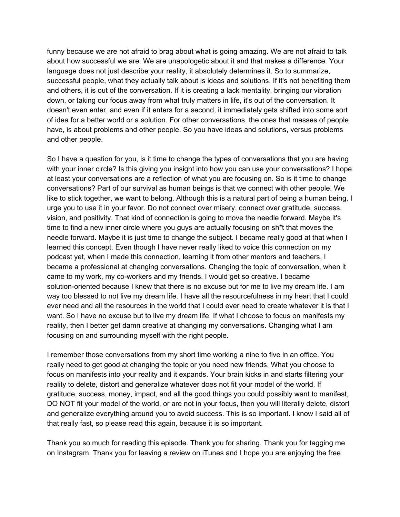funny because we are not afraid to brag about what is going amazing. We are not afraid to talk about how successful we are. We are unapologetic about it and that makes a difference. Your language does not just describe your reality, it absolutely determines it. So to summarize, successful people, what they actually talk about is ideas and solutions. If it's not benefiting them and others, it is out of the conversation. If it is creating a lack mentality, bringing our vibration down, or taking our focus away from what truly matters in life, it's out of the conversation. It doesn't even enter, and even if it enters for a second, it immediately gets shifted into some sort of idea for a better world or a solution. For other conversations, the ones that masses of people have, is about problems and other people. So you have ideas and solutions, versus problems and other people.

So I have a question for you, is it time to change the types of conversations that you are having with your inner circle? Is this giving you insight into how you can use your conversations? I hope at least your conversations are a reflection of what you are focusing on. So is it time to change conversations? Part of our survival as human beings is that we connect with other people. We like to stick together, we want to belong. Although this is a natural part of being a human being, I urge you to use it in your favor. Do not connect over misery, connect over gratitude, success, vision, and positivity. That kind of connection is going to move the needle forward. Maybe it's time to find a new inner circle where you guys are actually focusing on sh\*t that moves the needle forward. Maybe it is just time to change the subject. I became really good at that when I learned this concept. Even though I have never really liked to voice this connection on my podcast yet, when I made this connection, learning it from other mentors and teachers, I became a professional at changing conversations. Changing the topic of conversation, when it came to my work, my co-workers and my friends. I would get so creative. I became solution-oriented because I knew that there is no excuse but for me to live my dream life. I am way too blessed to not live my dream life. I have all the resourcefulness in my heart that I could ever need and all the resources in the world that I could ever need to create whatever it is that I want. So I have no excuse but to live my dream life. If what I choose to focus on manifests my reality, then I better get damn creative at changing my conversations. Changing what I am focusing on and surrounding myself with the right people.

I remember those conversations from my short time working a nine to five in an office. You really need to get good at changing the topic or you need new friends. What you choose to focus on manifests into your reality and it expands. Your brain kicks in and starts filtering your reality to delete, distort and generalize whatever does not fit your model of the world. If gratitude, success, money, impact, and all the good things you could possibly want to manifest, DO NOT fit your model of the world, or are not in your focus, then you will literally delete, distort and generalize everything around you to avoid success. This is so important. I know I said all of that really fast, so please read this again, because it is so important.

Thank you so much for reading this episode. Thank you for sharing. Thank you for tagging me on Instagram. Thank you for leaving a review on iTunes and I hope you are enjoying the free